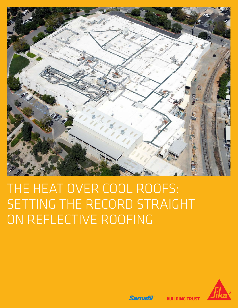

# THE HEAT OVER COOL ROOFS: SETTING THE RECORD STRAIGHT ON REFLECTIVE ROOFING



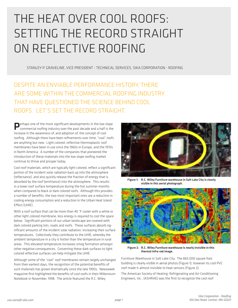## THE HEAT OVER COOL ROOFS: SETTING THE RECORD STRAIGHT ON REFLECTIVE ROOFING

STANLEY P. GRAVELINE, VICE PRESIDENT - TECHNICAL SERVICES, SIKA CORPORATION - ROOFING

DESPITE AN ENVIABLE PERFORMANCE HISTORY, THERE ARE SOME WITHIN THE COMMERCIAL ROOFING INDUSTRY THAT HAVE QUESTIONED THE SCIENCE BEHIND COOL ROOFS. LET'S SET THE RECORD STRAIGHT.

**Perhaps one of the most significant developments in the low slope** commercial roofing industry over the past decade and a half is the increase in the awareness of, and adoption of, the concept of cool roofing. Although there have been refinements over time, "cool" roofs are anything but new. Light colored, reflective thermoplastic roof membranes have been in use since the 1960s in Europe, and the 1970s in North America. A number of the companies that pioneered the introduction of these materials into the low slope roofing market continue to thrive and prosper today.

Cool roof materials, which are typically light colored, reflect a significant portion of the incident solar radiation back up into the atmosphere (reflectance), and also quickly release the fraction of energy that is absorbed by the roof (emittance) into the atmosphere. This results in a lower roof surface temperature during the hot summer months when compared to black or dark colored roofs. Although this provides a number of benefits, the two most important ones are a reduction in cooling energy consumption and a reduction in the Urban Heat Island Effect (UHIE).

With a roof surface that can be more than 40 °F cooler with a white or other light colored membrane, less energy is required to cool the space below. Significant portions of our urban landscape are covered with dark colored parking lots, roads and roofs. These surfaces absorb significant amounts of the incident solar radiation, increasing their surface temperatures. Collectively they contribute to the UHIE, whereby the ambient temperature in a city is hotter than the temperature in rural areas. This elevated temperature increases smog formation amongst other negative consequences. Converting these dark surfaces to light colored reflective surfaces can help mitigate the UHIE.

Although some of the "cool" roof membranes remain largely unchanged from their earliest days, the recognition of the potential benefits of such materials has grown dramatically since the late 1990s. Newsweek magazine first highlighted the benefits of cool roofs in their Millennium Notebook in November, 1998. The article featured the R.C. Wiley



Figure 1: R.C. Wiley Furniture warehouse in Salt Lake City is clearly visible in this aerial photograph.



Figure 2: R.C. Wiley Furniture warehouse is nearly invisible in this thermal infra-red image.

Furniture Warehouse in Salt Lake City. The 865,000 square foot building is clearly visible in aerial photos (Figure 1), however its cool PVC roof made it almost invisible to heat sensors (Figure 2).

The American Society of Heating, Refrigerating and Air-Conditioning Engineers, Inc., (ASHRAE) was the first to recognize the cool roof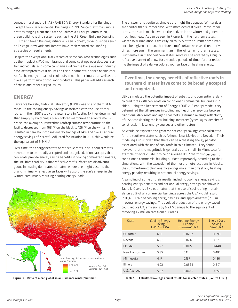concept in a standard in ASHRAE 90.1: Energy Standard for Buildings Except Low-Rise Residential Buildings in 1999. Since that time various entities ranging from the State of California's Energy Commission, green building rating systems such as the U.S. Green Building Council's LEED® and Green Building Initiative Green Globes®, to various cities such as Chicago, New York and Toronto have implemented cool roofing strategies or requirements.

Despite the exceptional track record of some cool roof technologies such as thermoplastic PVC membranes and some coatings over decades, certain individuals, and some companies within the low slope roof industry have attempted to cast doubts on the fundamental science behind cool roofs, the energy impact of cool roofs in northern climates as well as the overall performance of cool roof products. This paper will address each of these and other alleged issues.

#### ENERGY

Lawrence Berkeley National Laboratory (LBNL) was one of the first to measure the cooling energy savings associated with the use of cool roofs. In their 2001 study of a retail store in Austin, TX they determined that simply by switching a black colored membrane to a white membrane, the average summertime rooftop surface temperature on the facility decreased from 168 °F on the black to 126 °F on the white. This resulted in peak hour cooling energy savings of 14% and overall annual energy savings of 7.2¢/ft<sup>2</sup>. Adjusted for inflation in 2013, this would be the equivalent of  $9.5$  $C/ft<sup>2</sup>$ .

Over time, the energy benefits of reflective roofs in southern climates have come to be broadly accepted and recognized. If one accepts that cool roofs provide energy saving benefits in cooling dominated climates, the intuitive corollary is that reflective roof surfaces are disadvantageous in heating dominated climates, where one might assume the black, minimally reflective surfaces will absorb the sun's energy in the winter, presumably reducing heating energy loads.



Figure 3: Ratio of mean global solar irradiance winter/summer.

The answer is not quite as simple as it might first appear. Winter days are shorter than summer days, with more overcast skies. Most importantly, the sun is much lower to the horizon in the winter and generates much less heat. As can be seen in Figure 3, in the northern states, winter solar irradiance is typically 20 to 35% of the summer time irradiance for a given location, therefore a roof surface receives three to five times more sun in the summer than in the winter in northern states. Furthermore in many northern states, roofs will be covered by a highly reflective blanket of snow for extended periods of time, further reducing the impact of a darker colored roof surface on heating energy.

#### Over time, the energy benefits of reflective roofs in southern climates have come to be broadly accepted and recognized.

LBNL simulated the potential impact of substituting conventional dark colored roofs with cool roofs on conditioned commercial buildings in 236 cities. Using the Department of Energy's DOE-2.1E energy model, they determined the differences in cooling and heating energy use between traditional dark roofs and aged cool roofs (assumed average reflectivity of 0.55) considering the local building inventory (types, ages, density of construction), local energy sources and other factors.

As would be expected the greatest net energy savings were calculated for the southern states such as Arizona, New Mexico and Nevada. Their modeling also showed that there can be a "heating energy penalty" associated with the use of cool roofs in cold climates. They found however that the magnitude is generally quite small. In Minnesota for example, they calculate it to be on average 0.137 therm/m<sup>2</sup> per year for conditioned commercial buildings. Most importantly, according to their simulations, with the exception of the most remote locations in Alaska, the summertime cooling energy savings more than offset any heating energy penalty, resulting in net annual energy savings.

A sampling of some of their results, including cooling energy savings, heating energy penalties and net annual energy savings are shown in Table 1. Overall, LBNL estimates that the use of cool roofing materials on 80% of all commercial buildings across the USA would result in 10,400 GWh of cooling energy savings, and approximately \$735 m in overall energy savings. The avoided production of the energy saved could reduce CO<sub>2</sub> emissions by 6.23 Mt annually, the equivalent of removing 1.2 million cars from our roads.

| State         | <b>Cooling Energy</b><br>Saving<br>$kWh/m2$ CRA | <b>Heating Energy</b><br>Penalty<br>therm/ $m^2$ CRA | <b>Energy Cost</b><br>Saving<br>$$/m2$ CRA |
|---------------|-------------------------------------------------|------------------------------------------------------|--------------------------------------------|
| California    | 6.13                                            | 0.0292                                               | 0.699                                      |
| Nevada        | 6.86                                            | 0.0737                                               | 0.570                                      |
| Florida       | 5.72                                            | 0.0115                                               | 0.448                                      |
| New Hampshire | 5.35                                            | 0.121                                                | 0.482                                      |
| Minnesota     | 4.17                                            | 0.137                                                | 0.136                                      |
| Illinois      | 4.22                                            | 0.0994                                               | 0.217                                      |
| U.S. Average  | 5.02                                            | 0.0645                                               | 0.356                                      |

Table 1: Calculated average annual results for selected states. (Source LBNL)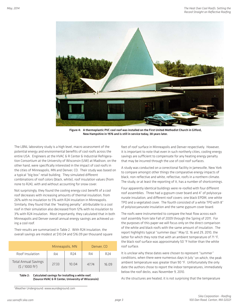

Figure 4: A thermoplastic PVC cool roof was installed on the First United Methodist Church in Gilford, New Hampshire in 1976 and is still in service today, 38 years later.

The LBNL laboratory study is a high level, macro assessment of the potential energy and environmental benefits of cool roofs across the entire USA. Engineers at the HVAC & R Center & Industrial Refrigeration Consortium at the University of Wisconsin (UW) at Madison, on the other hand, were specifically interested in the impact of cool roofs in the cities of Minneapolis, MN and Denver, CO. Their study was based on a typical "big box" retail building. They simulated different combinations of roof colors (black, white), roof insulation values (from none to R24), with and without accounting for snow cover.

Not surprisingly, they found the cooling energy cost benefit of a cool roof decreases with increasing amounts of thermal insulation, from 26% with no insulation to 5% with R24 insulation in Minneapolis. Similarly, they found that the "heating penalty" attributable to a cool roof in their simulation also decreased from 12% with no insulation to 3% with R24 insulation. Most importantly, they calculated that in both Minneapolis and Denver overall annual energy savings are achieved using a cool roof.

Their results are summarized in Table 2. With R24 insulation, the overall savings are modest at \$10.04 and \$16.09 per thousand square

|                                                        | Minneapolis, MN |                 | Denver, CO |                 |
|--------------------------------------------------------|-----------------|-----------------|------------|-----------------|
| Roof Insulation                                        | R4              | R <sub>24</sub> | R4         | R <sub>74</sub> |
| <b>Total Annual Savings</b><br>$(5/1000 \text{ ft}^2)$ | 27.33           | 10.04           | 47.74      | 16.09           |

Table 2: Calculated savings for installing a white roof. (Source HVAC & R Center, University of Wisconsin)

1 Weather Underground: www.wundeground.com

feet of roof surface in Minneapolis and Denver respectively. However, it is important to note that even in such northerly cities, cooling energy savings are sufficient to compensate for any heating energy penalty that may be incurred through the use of cool roof surfaces.

A study was conducted on a correctional facility in Jamesville, New York to compare amongst other things the comparative energy impacts of black, non-reflective and white, reflective, roofs in a northern climate. The study, or at least the reporting of it, has a number of shortcomings.

Four apparently identical buildings were re-roofed with four different roof assemblies. Three had a gypsum cover board and 4" of polyisocyanurate insulation, and different roof covers: one black EPDM, one white TPO and a vegetated cover. The fourth consisted of a white TPO with 8" of polyisocyanurate insulation and the same gypsum cover board.

The roofs were instrumented to compare the heat flow across each roof assembly from late Fall of 2009 through the Spring of 2011. For the purposes of this paper we will focus only on the direct comparison of the white and black roofs with the same amount of insulation. The report highlights typical "summer days" May 12, 16 and 29, 2010, the latter for which they note that with an ambient temperature of 71 °F, the black roof surface was approximately 50 °F hotter than the white roof surface.

It is unclear why these dates were chosen to represent "summer" conditions, when there were numerous days in July 1 on which, the peak ambient temperature was greater than 90 °F. Unfortunately the only date the authors chose to report the indoor temperatures, immediately below the roof decks, was November 9, 2010.

As the structures are heated, it is not surprising that the temperature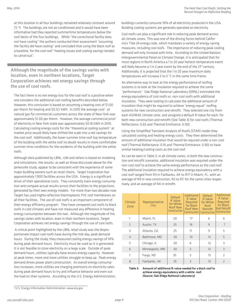at this location in all four buildings remained relatively constant around 72 °F. The buildings are not air conditioned and it would have been informative had they reported summertime temperatures below the roof decks of the four buildings. While "the correctional facility does not have cooling" the authors conducted their assessment "assuming the facility did have cooling" and concluded that using the black roof as a baseline, for the cool roof "heating losses and cooling savings tended to cancel out".

Although the magnitude of the savings varies with location, even in northern locations, Target Corporation achieves net energy savings through the use of cool roofs.

The fact there is no net energy loss for the cool roof is a positive when one considers the additional cool roofing benefits described below. However, this conclusion is based on assuming a heating cost of \$1.00 per therm for heating and \$0.12/ kWh. In 2010 the average cost<sup>2</sup> of natural gas for commercial customers across the state of New York was approximately \$1.00 per therm. However, the average commercial price<sup>2</sup> of electricity in New York state was approximately \$0.16 kWh in 2010. Calculating cooling energy costs for the "theoretical cooling system" at market price would likely have shifted the scale into a net savings for the cool roof. Additionally, the lower summer time roof top temperature of the building with the white roof no doubt results in more comfortable summer time conditions for the residents of the building with the white roofs.

Although data published by LBNL, UW and others is based on modeling and simulations, the results, as well as those discussed above for the Jamesville study, appear to be consistent with the experience of some major building owners such as retail chains. Target Corporation has approximately 1,900 facilities across the USA. Energy is a significant driver of their operational costs. They constantly track energy consumption and compare actual results across their facilities to the projections generated by their own energy models. For more than two decades now Target has used highly reflective thermoplastic PVC roof membranes on all their facilities. The use of cool roofs is an important component of their energy efficiency program. They have compared cool roofs to black roofs in cold climates and have not measured any difference in heating energy consumption between the two. Although the magnitude of the savings varies with location, even in their northern locations, Target Corporation achieves net energy savings through the use of cool roofs.

 A critical point highlighted by the LBNL retail study was the disproportionate impact cool roofs have during the mid-day, peak demand hours. During the study, they measured cooling energy savings of 14% during peak demand hours. Electricity must be used as it is generated. It is not feasible to store electricity on a large scale. Outside of peak demand hours, utilities typically have excess energy capacity. However at peak times, more and more utilities struggle to keep up. Peak energy demand drives power plant construction. As overall energy consumption increases, more utilities are charging premiums on electricity rates during peak demand hours to try and influence behavior and even out the load on their systems. According to the U.S. Energy Administration, buildings currently consume 76% of all electricity produced in the USA. Building cooling systems are generally operated on electricity.

Cool roofs can play a significant role in reducing peak demand across all climate zones. This was one of the driving forces behind California's Title 24 energy code, which mandates a variety of energy saving measures, including cool roofs. The importance of reducing peak cooling demand will only increase with time. According to the United Nations Intergovernmental Panel on Climate Change, it is anticipated that for most regions in North America a 1 in 20 year hottest temperature event will likely become a 1 in 2 year event by the end of the 21<sup>st</sup> century. Additionally, it is projected that the 1 in 20 year maximum daily temperatures will increase 2 to 5 °C in the same time frame.

An alternative way to look at the energy performance of roofing systems is to look at the insulation required to achieve the same "performance." Oak Ridge National Laboratory (ORNL) estimated the energy equivalency of cool roofs vs. non-cool roofs with additional insulation. They were looking to calculate the additional amount of insulation that might be required to achieve "energy equal" roofing systems for new construction and retrofit. They selected one city from each ASHRAE climate zone, and assigned a default R-Value for each, for both new construction and retrofit (See Table 3) for cool roofs (Thermal Reflectance: 0.65 and Thermal Emittance: 0.90).

Using the Simplified Transient Analysis of Roofs (STAR) model they calculated cooling and heating energy costs. They then determined the amount of additional insulation that would be required under a non-cool roof (Thermal Reflectance: 0.10 and Thermal Emittance: 0.90) to have similar heating/cooling costs as the cool roof.

As can be seen in Table 3, in all climate zones, in both the new construction and retrofit scenarios, additional insulation was required under the non-cool roof to achieve the same energy performance as the cool roof. The additional insulation required to achieve energy equivalency with a cool roof ranged from R3 in Fairbanks, AK to R17 in Miami, FL, with an average of R9 in new construction, R2 to R7, for the same cities respectively, and an average of R4 in retrofit.

| Climate<br>Zone | Representative<br>City | <b>Default</b><br>R Value<br>for White<br>Roof New<br>Construction | Additional<br>R Value<br>Required<br>for Black<br>Roof New<br>Construction | Default<br>R Value<br>for White<br>Roof<br>Retrofit<br>Construction | Additional<br>R Value<br>Required<br>for Black<br>Roof Retrofit<br>Construction |
|-----------------|------------------------|--------------------------------------------------------------------|----------------------------------------------------------------------------|---------------------------------------------------------------------|---------------------------------------------------------------------------------|
| 1               | Miami, FL              | 20                                                                 | 17                                                                         | 6                                                                   | 6                                                                               |
| $\overline{2}$  | Austin, TX             | 25                                                                 | 16                                                                         | 9                                                                   | 7                                                                               |
| 3               | Atlanta, GA            | 25                                                                 | 11                                                                         | 9                                                                   | 5                                                                               |
| $\overline{4}$  | Baltimore, MD          | 30                                                                 | 10                                                                         | 12                                                                  | 5                                                                               |
| 5               | Chicago, IL            | 30                                                                 | 6                                                                          | 12                                                                  | 3                                                                               |
| 6               | Minneapolis, MN        | 30                                                                 | 5                                                                          | 12                                                                  | $\overline{3}$                                                                  |
| 7               | Fargo, ND              | 35                                                                 | 5                                                                          | 15                                                                  | $\overline{2}$                                                                  |
| 8               | Fairbanks, AK          | 35                                                                 | 3                                                                          | 15                                                                  | $\overline{2}$                                                                  |

Table 3: Amount of additional R-value needed for a black roof to achieve energy equivalency with a white roof. (Source: Oak Ridge National Laboratory)

<sup>2</sup> U.S. Energy Information Administration: www.eia.gov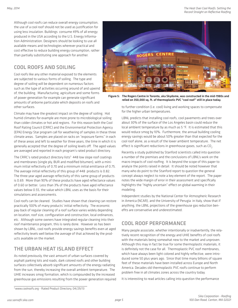Although cool roofs can reduce overall energy consumption, the use of a cool roof should not be used as justification for using less insulation. Buildings consume 49% of all energy produced in the USA according to the U.S. Energy Information Administration. Designers should be looking to use all available means and technologies wherever practical and cost effective to reduce building energy consumption, rather than partially substituting one approach for another.

### COOL ROOFS AND SOILING

Cool roofs like any other material exposed to the elements are subjected to various forms of soiling. The type and degree of soiling will be dependent on numerous factors such as the type of activities occurring around of and upwind of, the building. Manufacturing, agriculture and some forms of power generation for example can generate significant amounts of airborne particulate which deposits on roofs and other surfaces.

Climate may have the greatest impact on the degree of soiling. Hot humid climates for example are more prone to microbiological soiling than colder climates or hot arid regions. For this reason both the Cool Roof Rating Council (CRRC) and the Environmental Protection Agency (EPA) Energy Star program call for weathering of samples in these three climate areas. Samples are placed on racks on "exposure farms" in each of these areas and left to weather for three years, the time in which it is generally accepted that the degree of soiling levels off. The aged values are averaged and reported in each program's rated product directory.

The CRRC's rated product directory lists<sup>3</sup> 448 low slope roof coatings and membranes (single ply, BUR and modified bitumen), with a minimum initial reflectivity of 0.70 and a minimum initial emittance of 0.75. The average initial reflectivity of this group of 448 products is 0.82. The three year aged average reflectivity of this same group of products is 0.69. More than 90% of these products have aged reflectance values of 0.60 or better. Less than 3% of the products have aged reflectance values below 0.55, the value which LBNL uses as the basis for their simulations and assessments.

Cool roofs can be cleaned. Studies have shown that cleaning can restore practically 100% of many products' initial reflectivity. The economic pay-back of regular cleaning of a roof surface varies widely depending on location, roof size, configuration and construction, local ordinances, etc. Although some owners have integrated regular cleaning into their roof maintenance program, this is rarely done. However as has been shown by LBNL, cool roofs provide energy savings benefits even at aged reflectivity levels well below the average of that achieved by the products available on the market.

#### THE URBAN HEAT ISLAND EFFECT

As noted previously, the vast amount of urban surfaces covered by asphalt parking lots and roads, dark colored roofs and other building surfaces collectively absorb significant amounts of the energy radiating from the sun, thereby increasing the overall ambient temperature. The UHIE increases smog formation, which is compounded by the increased greenhouse gas emissions resulting from the power generation required



Figure 5: The Rogers Centre in Toronto, aka Skydome, was constructed in the mid-1980s and relied on 350,000 sq. ft. of thermoplastic PVC "cool roof" still in place today.

to further condition (i.e. cool) living and working spaces to compensate for the higher urban temperatures.

LBNL predicts that installing cool roofs, cool pavements and trees over about 30% of the surface of the Los Angeles basin could reduce the local ambient temperature by as much as 5 °F. It is estimated that this would reduce smog by 10%. Furthermore, the annual building cooling energy savings would be about 50% greater than that expected for the cool roof alone, as a result of the lower ambient temperature. The net effect is significant reductions in greenhouse gases, such as CO<sub>2</sub>.

Recently a study published by Stanford scientists called into question a number of the premises and the conclusions of LBNL's work on the macro impacts of cool roofing. It is beyond the scope of this paper to analyze the points raised in detail. It should be noted however that many who do point to the Stanford report to question the general concept always neglect to note a key element of the report. The paper notes the wide margin of error in their assessment and specifically highlights the "highly uncertain" effect on global warming in their modeling.

Independent studies by the National Center for Atmospheric Research in America (NCAR), and the University of Perugia in Italy, show that if anything, the LBNL projections of the greenhouse gas reduction benefits are conservative and underestimated.

#### COOL ROOF PERFORMANCE

Many people associate, whether intentionally or inadvertently, the relatively recent recognition of the energy and UHIE benefits of cool roofs with the materials being somewhat new to the market and unproven. Although this may in fact be true for some thermoplastic materials, it is definitely not the case for all. Thermoplastic PVC roof membranes, which have always been light colored and highly reflective, were introduced some 50 plus years ago. Since that time many billions of square feet of these materials have been installed across Europe and North America. Decades old thermoplastic PVC roofs continue to perform problem free in all climates zones across the country today.

It is interesting to read articles calling into question the performance

<sup>3</sup> www.coolroofs.org - Rated Product Directory, 04/29/13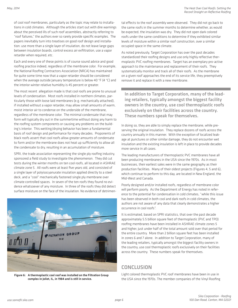of cool roof membranes, particularly as the topic may relate to installations in cold climates. Although the articles start out with dire warnings about the perceived ills of such roof assemblies, abstractly referring to "roof failures," the authors ever so rarely provide specific examples. The papers inevitably turn into treatises on good roof design and installation: use more than a single layer of insulation, do not leave large gaps between insulation boards, control excess air exfiltration, use a vapor retarder when required, etc.

Each and every one of these points is of course sound advice and good roofing practice indeed, regardless of the membrane color. For example, the National Roofing Contractors Association (NRCA) has maintained for quite some time now that a vapor retarder should be considered when the average outside January temperature is below 40 °F (4 °C) and the interior winter relative humidity is 45 percent or greater.

The most recent allegation made is that cool roofs are prone to unusual levels of condensation. Most roofs installed in northern climates, particularly those with loose laid membranes (e.g. mechanically attached), if installed without a vapor retarder, may allow small amounts of warm, moist interior air to condense on the underside of the membrane, regardless of the membrane color. The minimal condensate that may form will typically dry out in the summertime without doing any harm to the roofing system components or causing any problems on the building's interior. This wetting/drying behavior has been a fundamental basis of roof design and performance for many decades. Proponents of black roofs assert that cool roofs allow greater amounts of condensate to form and/or the membrane does not heat up sufficiently to allow all the condensate to dry, resulting in an accumulation of moisture.

SPRI, the trade association representing the single ply roofing industry, sponsored a field study to investigate the phenomenon. They did cut tests during the winter months on ten cool roofs, all located in ASHRAE climate zone 5. All roofs were at least five years old, and consisted of a single layer of polyisocyanurate insulation applied directly to a steel deck, and a "cool" mechanically fastened single ply membrane over climate controlled spaces. In seven of the ten roofs they found no evidence whatsoever of any moisture. In three of the roofs they did detect surface moisture on the face of the insulation. No evidence of detrimen-



Figure 6: A thermoplastic cool roof was installed on the Filtration Group complex in Joliet, IL, in 1984 and is still in service.

tal effects to the roof assembly were observed. They did not go back to the same roofs in the summer months to determine whether, as would be expected, the insulation was dry. They did not open dark colored roofs under the same conditions to determine if they exhibited similar levels of moisture within a similar roof construction, over a similar occupied space in the same climate.

As noted previously, Target Corporation has over the past decades standardized their roofing designs and use only highly reflective thermoplastic PVC roofing membranes. Target has an exemplary pro-active approach to the maintenance and replacement of their roofs. They systematically monitor and track all of their roofs. As the membrane on a given roof approaches the end of its service life, they preemptively remove it and replace it with a new membrane.

In addition to Target Corporation, many of the leading retailers, typically amongst the biggest facility owners in the country, use cool thermoplastic roofs exclusively on their facilities across the country. These numbers speak for themselves.

In doing so, they are able to simply replace the membrane, while preserving the original insulation. They replace dozens of roofs across the country annually in this manner. With the exception of localized leakage at punctures or other similar damage, they do not encounter wet insulation and the existing insulation is left in place to provide decades more service in all cases.

The leading manufacturers of thermoplastic PVC membranes have all been producing membranes in the USA since the 1970s. As in most businesses, their earliest sales were in the same geography as their production facilities. Many of their oldest projects (Figures 4, 5 and 6), which continue to perform to this day, are located in New England, the Mid-West and Canada.

Poorly designed and/or installed roofs, regardless of membrane color will perform poorly. As the Department of Energy has noted in reference to the potential for condensation in cold climates, "while this issue has been observed in both cool and dark roofs in cold climates, the authors are not aware of any data that clearly demonstrates a higher occurrence in cool roofs".

It is estimated, based on SPRI statistics, that over the past decade approximately 5.5 billion square feet of thermoplastic (PVC and TPO) roofing membranes have been installed in ASHRAE climate zones 5 and higher, just under half of the total amount sold over that period for the entire country. More than 2 billion square feet has been installed in zones 6 and 7 alone. In addition to Target Corporation, many of the leading retailers, typically amongst the biggest facility owners in the country, use cool thermoplastic roofs exclusively on their facilities across the country. These numbers speak for themselves.

#### CONCLUSION

Light colored thermoplastic PVC roof membranes have been in use in the USA since the 1970s. The member companies of the Vinyl Roofing